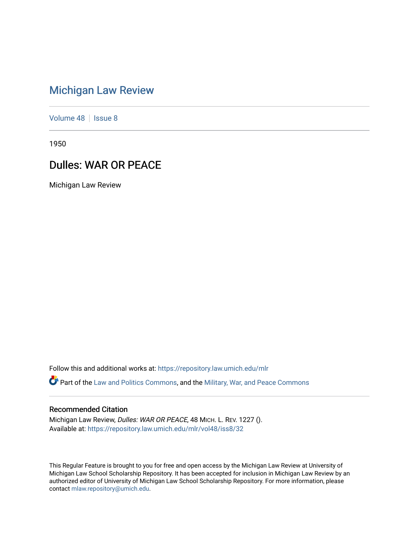## [Michigan Law Review](https://repository.law.umich.edu/mlr)

[Volume 48](https://repository.law.umich.edu/mlr/vol48) | [Issue 8](https://repository.law.umich.edu/mlr/vol48/iss8)

1950

## Dulles: WAR OR PEACE

Michigan Law Review

Follow this and additional works at: [https://repository.law.umich.edu/mlr](https://repository.law.umich.edu/mlr?utm_source=repository.law.umich.edu%2Fmlr%2Fvol48%2Fiss8%2F32&utm_medium=PDF&utm_campaign=PDFCoverPages) 

Part of the [Law and Politics Commons,](http://network.bepress.com/hgg/discipline/867?utm_source=repository.law.umich.edu%2Fmlr%2Fvol48%2Fiss8%2F32&utm_medium=PDF&utm_campaign=PDFCoverPages) and the [Military, War, and Peace Commons](http://network.bepress.com/hgg/discipline/861?utm_source=repository.law.umich.edu%2Fmlr%2Fvol48%2Fiss8%2F32&utm_medium=PDF&utm_campaign=PDFCoverPages) 

## Recommended Citation

Michigan Law Review, Dulles: WAR OR PEACE, 48 MICH. L. REV. 1227 (). Available at: [https://repository.law.umich.edu/mlr/vol48/iss8/32](https://repository.law.umich.edu/mlr/vol48/iss8/32?utm_source=repository.law.umich.edu%2Fmlr%2Fvol48%2Fiss8%2F32&utm_medium=PDF&utm_campaign=PDFCoverPages) 

This Regular Feature is brought to you for free and open access by the Michigan Law Review at University of Michigan Law School Scholarship Repository. It has been accepted for inclusion in Michigan Law Review by an authorized editor of University of Michigan Law School Scholarship Repository. For more information, please contact [mlaw.repository@umich.edu](mailto:mlaw.repository@umich.edu).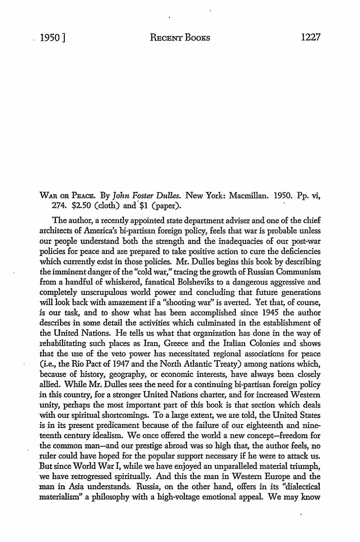## WAR OR PEACE. By *John Foster Dulles.* New York: Macmillan. 1950. Pp. vi, 274.  $$2.50$  (cloth) and  $$1$  (paper).

The author, a recently appointed state department adviser and one of the chief architects of America's bi-partisan foreign policy, feels that war is probable unless our people understand both the strength and the inadequacies of our post-war policies for peace and are prepared to take positive action to cure the deficiencies which currently exist in those policies. Mr. Dulles begins this book by describing the imminent danger of the "cold war," tracing the growth of Russian Communism from a handful of whiskered, fanatical Bolsheviks *to* a dangerous aggressive and completely unscrupulous world power and concluding that future generations will look back with amazement if a "shooting war" is averted. Yet that, of course, is our task, and to show what has been accomplished since 1945 the author describes in some detail the activities which culminated in the establishment of the United Nations. He tells us what that organization has done in the way of rehabilitating such places as Iran, Greece and the Italian Colonies and shows that the use of the veto power has necessitated regional associations for peace (i.e., the Rio Pact of 1947 and the North Atlantic Treaty) among nations which, because of history, geography, or economic interests, have always been closely allied. While Mr. Dulles sees the need for a continuing bi-partisan foreign policy in this country, for a stronger United Nations charter, and for increased Western unity, perhaps the most important part of this book is that section which deals with our spiritual shortcomings. To a large extent, we are told, the United States is in its present predicament because of the failure of our eighteenth and nineteenth century idealism. We once offered the world a new concept-freedom for the common man-and our prestige abroad was so high that, the author feels, no ruler could have hoped for the popular support necessary if he were *to* attack us. But since World War I, while we have enjoyed an unparalleled material triumph, we have retrogressed spiritually. And this the man in Western Europe and the man in Asia understands. Russia, on the other hand, offers in its "dialectical materialism" a philosophy with a high-voltage emotional appeal. We may know